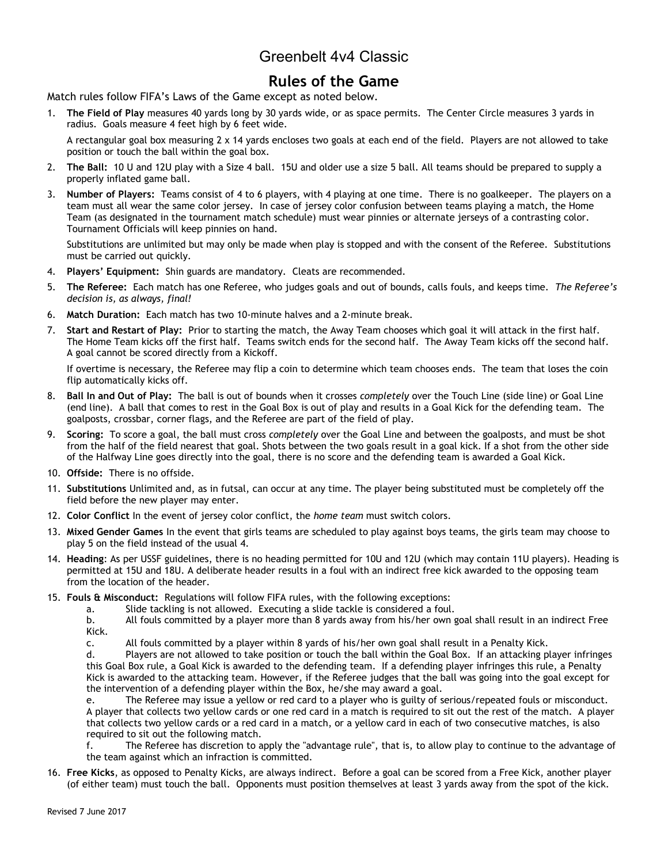# Greenbelt 4v4 Classic

### **Rules of the Game**

Match rules follow FIFA's Laws of the Game except as noted below.

1. **The Field of Play** measures 40 yards long by 30 yards wide, or as space permits. The Center Circle measures 3 yards in radius. Goals measure 4 feet high by 6 feet wide.

A rectangular goal box measuring 2 x 14 yards encloses two goals at each end of the field. Players are not allowed to take position or touch the ball within the goal box.

- 2. **The Ball:** 10 U and 12U play with a Size 4 ball. 15U and older use a size 5 ball. All teams should be prepared to supply a properly inflated game ball.
- 3. **Number of Players:** Teams consist of 4 to 6 players, with 4 playing at one time. There is no goalkeeper. The players on a team must all wear the same color jersey. In case of jersey color confusion between teams playing a match, the Home Team (as designated in the tournament match schedule) must wear pinnies or alternate jerseys of a contrasting color. Tournament Officials will keep pinnies on hand.

Substitutions are unlimited but may only be made when play is stopped and with the consent of the Referee. Substitutions must be carried out quickly.

- 4. **Players' Equipment:** Shin guards are mandatory. Cleats are recommended.
- 5. **The Referee:** Each match has one Referee, who judges goals and out of bounds, calls fouls, and keeps time. *The Referee's decision is, as always, final!*
- 6. **Match Duration:** Each match has two 10-minute halves and a 2-minute break.
- 7. **Start and Restart of Play:** Prior to starting the match, the Away Team chooses which goal it will attack in the first half. The Home Team kicks off the first half. Teams switch ends for the second half. The Away Team kicks off the second half. A goal cannot be scored directly from a Kickoff.

If overtime is necessary, the Referee may flip a coin to determine which team chooses ends. The team that loses the coin flip automatically kicks off.

- 8. **Ball In and Out of Play:** The ball is out of bounds when it crosses *completely* over the Touch Line (side line) or Goal Line (end line). A ball that comes to rest in the Goal Box is out of play and results in a Goal Kick for the defending team. The goalposts, crossbar, corner flags, and the Referee are part of the field of play.
- 9. **Scoring:** To score a goal, the ball must cross *completely* over the Goal Line and between the goalposts, and must be shot from the half of the field nearest that goal. Shots between the two goals result in a goal kick. If a shot from the other side of the Halfway Line goes directly into the goal, there is no score and the defending team is awarded a Goal Kick.
- 10. **Offside:** There is no offside.
- 11. **Substitutions** Unlimited and, as in futsal, can occur at any time. The player being substituted must be completely off the field before the new player may enter.
- 12. **Color Conflict** In the event of jersey color conflict, the *home team* must switch colors.
- 13. **Mixed Gender Games** In the event that girls teams are scheduled to play against boys teams, the girls team may choose to play 5 on the field instead of the usual 4.
- 14. **Heading**: As per USSF guidelines, there is no heading permitted for 10U and 12U (which may contain 11U players). Heading is permitted at 15U and 18U. A deliberate header results in a foul with an indirect free kick awarded to the opposing team from the location of the header.
- 15. **Fouls & Misconduct:** Regulations will follow FIFA rules, with the following exceptions:
	- a. Slide tackling is not allowed. Executing a slide tackle is considered a foul.

b. All fouls committed by a player more than 8 yards away from his/her own goal shall result in an indirect Free Kick.

c. All fouls committed by a player within 8 yards of his/her own goal shall result in a Penalty Kick.

d. Players are not allowed to take position or touch the ball within the Goal Box. If an attacking player infringes this Goal Box rule, a Goal Kick is awarded to the defending team. If a defending player infringes this rule, a Penalty Kick is awarded to the attacking team. However, if the Referee judges that the ball was going into the goal except for the intervention of a defending player within the Box, he/she may award a goal.

e. The Referee may issue a yellow or red card to a player who is guilty of serious/repeated fouls or misconduct. A player that collects two yellow cards or one red card in a match is required to sit out the rest of the match. A player that collects two yellow cards or a red card in a match, or a yellow card in each of two consecutive matches, is also required to sit out the following match.

f. The Referee has discretion to apply the "advantage rule", that is, to allow play to continue to the advantage of the team against which an infraction is committed.

16. **Free Kicks**, as opposed to Penalty Kicks, are always indirect. Before a goal can be scored from a Free Kick, another player (of either team) must touch the ball. Opponents must position themselves at least 3 yards away from the spot of the kick.